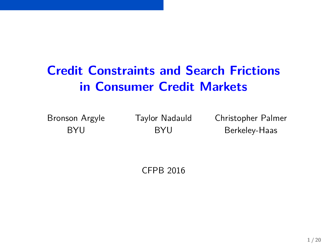# **Credit Constraints and Search Frictions in Consumer Credit Markets**

Bronson Argyle Taylor Nadauld Christopher Palmer BYU BYU Berkeley-Haas

CFPB 2016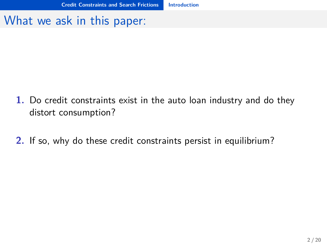#### <span id="page-1-0"></span>What we ask in this paper:

- **1.** Do credit constraints exist in the auto loan industry and do they distort consumption?
- **2.** If so, why do these credit constraints persist in equilibrium?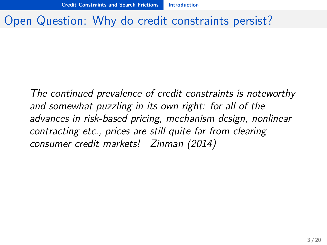#### <span id="page-2-0"></span>Open Question: Why do credit constraints persist?

The continued prevalence of credit constraints is noteworthy and somewhat puzzling in its own right: for all of the advances in risk-based pricing, mechanism design, nonlinear contracting etc., prices are still quite far from clearing consumer credit markets! –Zinman (2014)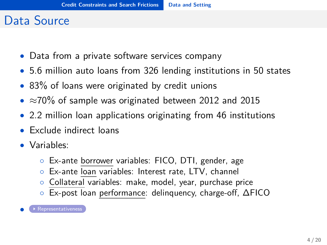#### <span id="page-3-0"></span>Data Source

- <span id="page-3-1"></span>• Data from a private software services company
- 5.6 million auto loans from 326 lending institutions in 50 states
- 83% of loans were originated by credit unions
- $\approx$ 70% of sample was originated between 2012 and 2015
- 2.2 million loan applications originating from 46 institutions
- Exclude indirect loans
- Variables:
	- Ex-ante borrower variables: FICO, DTI, gender, age
	- Ex-ante loan variables: Interest rate, LTV, channel
	- Collateral variables: make, model, year, purchase price
	- Ex-post loan performance: delinquency, charge-off, ∆FICO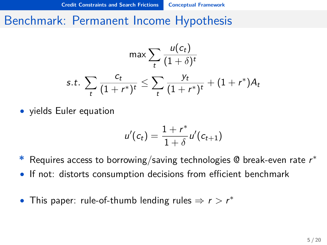#### <span id="page-4-0"></span>Benchmark: Permanent Income Hypothesis

$$
\max \sum_{t} \frac{u(c_t)}{(1+\delta)^t}
$$
  
s.t. 
$$
\sum_{t} \frac{c_t}{(1+r^*)^t} \le \sum_{t} \frac{y_t}{(1+r^*)^t} + (1+r^*)A_t
$$

• yields Euler equation

$$
u'(c_t) = \frac{1+r^*}{1+\delta}u'(c_{t+1})
$$

- **\*** Requires access to borrowing/saving technologies @ break-even rate r ∗
- If not: distorts consumption decisions from efficient benchmark
- This paper: rule-of-thumb lending rules  $\Rightarrow$   $r > r^*$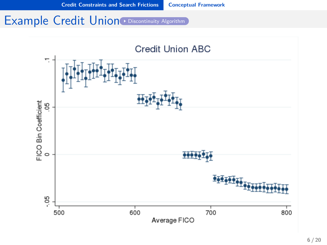#### <span id="page-5-0"></span>Example Credit Union [Discontinuity Algorithm](#page-24-0)

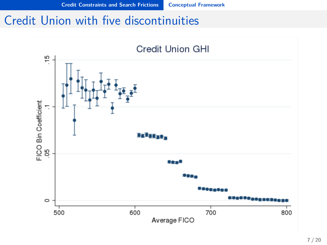### <span id="page-6-0"></span>Credit Union with five discontinuities

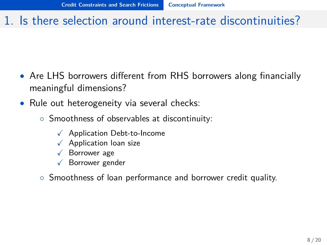#### <span id="page-7-0"></span>1. Is there selection around interest-rate discontinuities?

- Are LHS borrowers different from RHS borrowers along financially meaningful dimensions?
- Rule out heterogeneity via several checks:
	- Smoothness of observables at discontinuity:
		- $\sqrt{\phantom{a}}$  Application Debt-to-Income
		- $\sqrt{\phantom{a}}$  Application loan size
		- $\sqrt{\phantom{a}}$  Borrower age
		- $\checkmark$  Borrower gender
	- Smoothness of loan performance and borrower credit quality.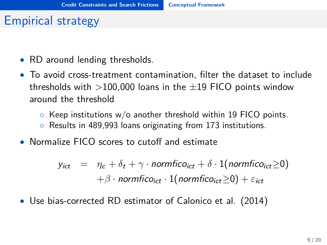#### <span id="page-8-0"></span>Empirical strategy

- RD around lending thresholds.
- To avoid cross-treatment contamination, filter the dataset to include thresholds with  $>$ 100,000 loans in the  $\pm$ 19 FICO points window around the threshold
	- $\circ$  Keep institutions w/o another threshold within 19 FICO points.
	- Results in 489,993 loans originating from 173 institutions.
- Normalize FICO scores to cutoff and estimate

 $y_{ict} = \eta_c + \delta_t + \gamma \cdot normfico_{ict} + \delta \cdot 1(normfico_{ict} > 0)$  $+ \beta \cdot$  normfico<sub>ict</sub> · 1(normfico<sub>ict</sub> > 0) +  $\varepsilon_{\text{ict}}$ 

• Use bias-corrected RD estimator of Calonico et al. (2014)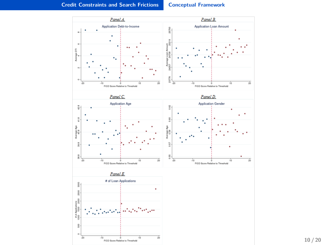#### <span id="page-9-0"></span>**[Credit Constraints and Search Frictions](#page-9-0) [Conceptual Framework](#page-9-0)**

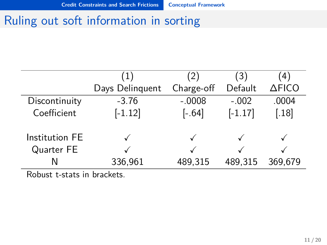#### <span id="page-10-0"></span>Ruling out soft information in sorting

|                | $\perp$         | (2)        | (3)       | 4       |
|----------------|-----------------|------------|-----------|---------|
|                | Days Delinquent | Charge-off | Default   | ∆FICO   |
| Discontinuity  | $-3.76$         | $-.0008$   | $-.002$   | .0004   |
| Coefficient    | $[-1.12]$       | $[-.64]$   | $[-1.17]$ | [.18]   |
| Institution FE |                 |            |           |         |
| Quarter FE     |                 |            |           |         |
| N              | 336,961         | 489,315    | 489,315   | 369,679 |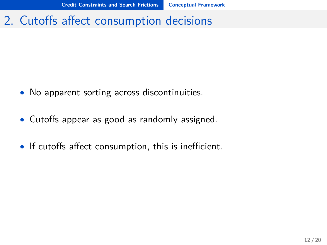### <span id="page-11-0"></span>2. Cutoffs affect consumption decisions

- No apparent sorting across discontinuities.
- Cutoffs appear as good as randomly assigned.
- If cutoffs affect consumption, this is inefficient.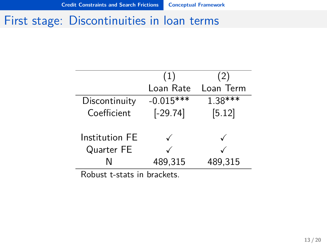#### <span id="page-12-0"></span>First stage: Discontinuities in loan terms

|                | (1)         | (2)       |
|----------------|-------------|-----------|
|                | Loan Rate   | Loan Term |
| Discontinuity  | $-0.015***$ | $1.38***$ |
| Coefficient    | $[-29.74]$  | [5.12]    |
|                |             |           |
| Institution FE |             |           |
| Quarter FE     |             |           |
| N              | 489,315     | 489,315   |
|                |             |           |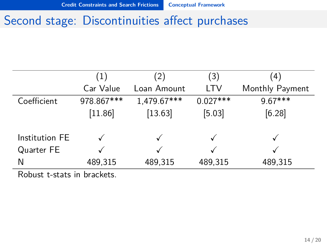### <span id="page-13-0"></span>Second stage: Discontinuities affect purchases

|                     | (1)        | (2)         | $\left(3\right)$ | (4)             |
|---------------------|------------|-------------|------------------|-----------------|
|                     | Car Value  | Loan Amount | <b>LTV</b>       | Monthly Payment |
| Coefficient         | 978.867*** | 1,479.67*** | $0.027***$       | $9.67***$       |
|                     | [11.86]    | [13.63]     | [5.03]           | [6.28]          |
|                     |            |             |                  |                 |
| Institution FE      |            |             |                  |                 |
| Quarter FE          |            |             |                  |                 |
| N                   | 489,315    | 489,315     | 489,315          | 489,315         |
| $\sim$ $\cdot$<br>. |            |             |                  |                 |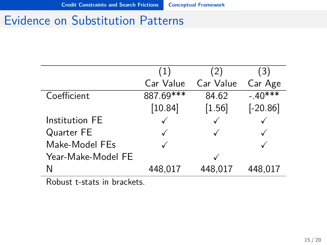### <span id="page-14-0"></span>Evidence on Substitution Patterns

|                    | ب 1 ،     | 2)        | (3)        |
|--------------------|-----------|-----------|------------|
|                    | Car Value | Car Value | Car Age    |
| Coefficient        | 887.69*** | 84.62     | $-.40***$  |
|                    | [10.84]   | $[1.56]$  | $[-20.86]$ |
| Institution FE     |           |           |            |
| Quarter FE         |           |           |            |
| Make-Model FEs     |           |           |            |
| Year-Make-Model FE |           |           |            |
| N                  | 448,017   | 448,017   | 448,017    |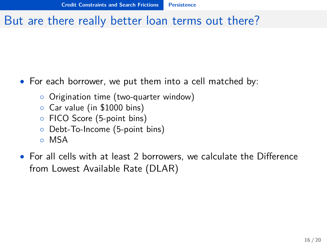### <span id="page-15-0"></span>But are there really better loan terms out there?

- For each borrower, we put them into a cell matched by:
	- Origination time (two-quarter window)
	- Car value (in \$1000 bins)
	- FICO Score (5-point bins)
	- Debt-To-Income (5-point bins)
	- MSA
- For all cells with at least 2 borrowers, we calculate the Difference from Lowest Available Rate (DLAR)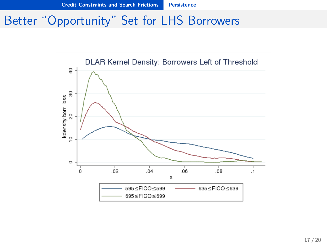### <span id="page-16-0"></span>Better "Opportunity" Set for LHS Borrowers

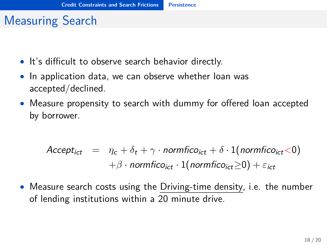# <span id="page-17-0"></span>Measuring Search

- It's difficult to observe search behavior directly.
- In application data, we can observe whether loan was accepted/declined.
- Measure propensity to search with dummy for offered loan accepted by borrower.

$$
Accept_{ict} = \eta_c + \delta_t + \gamma \cdot normfico_{ict} + \delta \cdot 1(normfico_{ict} < 0)
$$

$$
+ \beta \cdot normfico_{ict} \cdot 1(normfico_{ict} \ge 0) + \varepsilon_{ict}
$$

• Measure search costs using the Driving-time density, i.e. the number of lending institutions within a 20 minute drive.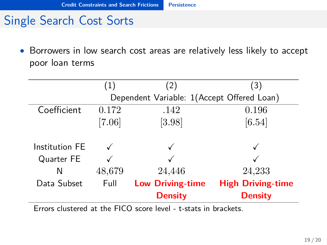### <span id="page-18-0"></span>Single Search Cost Sorts

• Borrowers in low search cost areas are relatively less likely to accept poor loan terms

|                | (1)      |                                            | (3)                      |
|----------------|----------|--------------------------------------------|--------------------------|
|                |          | Dependent Variable: 1(Accept Offered Loan) |                          |
| Coefficient    | 0.172    | .142                                       | 0.196                    |
|                | $[7.06]$ | [3.98]                                     | [6.54]                   |
|                |          |                                            |                          |
| Institution FE |          |                                            |                          |
| Quarter FE     |          |                                            |                          |
| N              | 48,679   | 24,446                                     | 24,233                   |
| Data Subset    | Full     | <b>Low Driving-time</b>                    | <b>High Driving-time</b> |
|                |          | <b>Density</b>                             | <b>Density</b>           |

Errors clustered at the FICO score level - t-stats in brackets.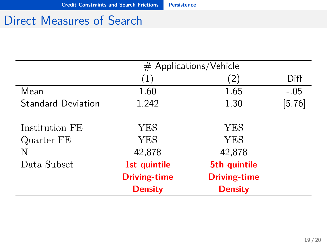### <span id="page-19-0"></span>Direct Measures of Search

|                           | $#$ Applications/Vehicle |                        |          |
|---------------------------|--------------------------|------------------------|----------|
|                           | (1)                      | $\left 2\right\rangle$ | Diff     |
| Mean                      | 1.60                     | 1.65                   | $-.05$   |
| <b>Standard Deviation</b> | 1.242                    | 1.30                   | $[5.76]$ |
| Institution FE            | YES                      | YES                    |          |
| Quarter FE                | YES                      | YES                    |          |
| N                         | 42,878                   | 42,878                 |          |
| Data Subset               | 1st quintile             | 5th quintile           |          |
|                           | <b>Driving-time</b>      | <b>Driving-time</b>    |          |
|                           | <b>Density</b>           | <b>Density</b>         |          |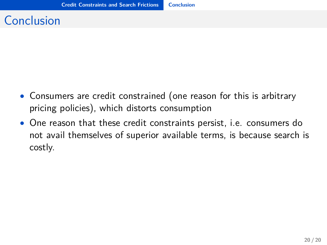# <span id="page-20-0"></span>Conclusion

- Consumers are credit constrained (one reason for this is arbitrary pricing policies), which distorts consumption
- One reason that these credit constraints persist, i.e. consumers do not avail themselves of superior available terms, is because search is costly.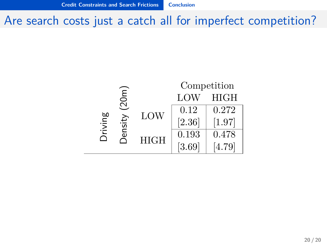<span id="page-21-0"></span>Are search costs just a catch all for imperfect competition?

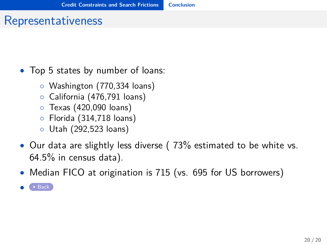#### <span id="page-22-1"></span>Representativeness

- <span id="page-22-0"></span>• Top 5 states by number of loans:
	- Washington (770,334 loans)
	- California (476,791 loans)
	- Texas (420,090 loans)
	- Florida (314,718 loans)
	- Utah (292,523 loans)
- Our data are slightly less diverse (73% estimated to be white vs. 64.5% in census data).
- Median FICO at origination is 715 (vs. 695 for US borrowers)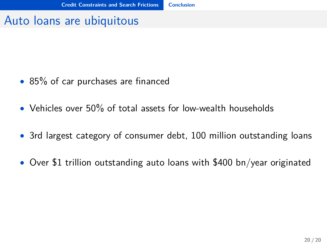#### <span id="page-23-0"></span>Auto loans are ubiquitous

- 85% of car purchases are financed
- Vehicles over 50% of total assets for low-wealth households
- 3rd largest category of consumer debt, 100 million outstanding loans
- Over \$1 trillion outstanding auto loans with \$400 bn/year originated